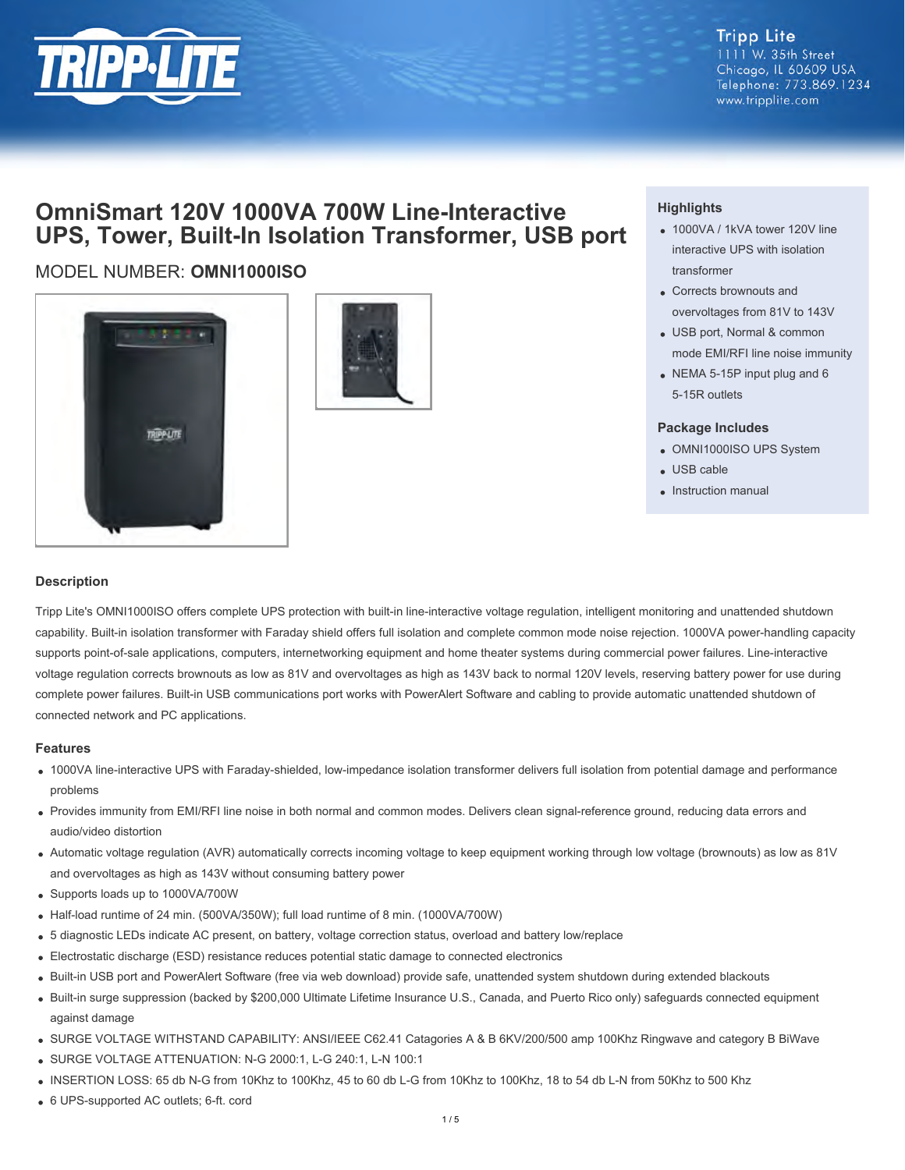

#### **Tripp Lite** 1111 W. 35th Street Chicago, IL 60609 USA Telephone: 773.869.1234 www.tripplite.com

# **OmniSmart 120V 1000VA 700W Line-Interactive UPS, Tower, Built-In Isolation Transformer, USB port**

## MODEL NUMBER: **OMNI1000ISO**





### **Highlights**

- 1000VA / 1kVA tower 120V line interactive UPS with isolation transformer
- Corrects brownouts and overvoltages from 81V to 143V
- USB port, Normal & common mode EMI/RFI line noise immunity
- NEMA 5-15P input plug and 6 5-15R outlets

#### **Package Includes**

- OMNI1000ISO UPS System
- USB cable
- Instruction manual

#### **Description**

Tripp Lite's OMNI1000ISO offers complete UPS protection with built-in line-interactive voltage regulation, intelligent monitoring and unattended shutdown capability. Built-in isolation transformer with Faraday shield offers full isolation and complete common mode noise rejection. 1000VA power-handling capacity supports point-of-sale applications, computers, internetworking equipment and home theater systems during commercial power failures. Line-interactive voltage regulation corrects brownouts as low as 81V and overvoltages as high as 143V back to normal 120V levels, reserving battery power for use during complete power failures. Built-in USB communications port works with PowerAlert Software and cabling to provide automatic unattended shutdown of connected network and PC applications.

#### **Features**

- 1000VA line-interactive UPS with Faraday-shielded, low-impedance isolation transformer delivers full isolation from potential damage and performance problems
- Provides immunity from EMI/RFI line noise in both normal and common modes. Delivers clean signal-reference ground, reducing data errors and audio/video distortion
- Automatic voltage regulation (AVR) automatically corrects incoming voltage to keep equipment working through low voltage (brownouts) as low as 81V and overvoltages as high as 143V without consuming battery power
- Supports loads up to 1000VA/700W
- Half-load runtime of 24 min. (500VA/350W); full load runtime of 8 min. (1000VA/700W)
- 5 diagnostic LEDs indicate AC present, on battery, voltage correction status, overload and battery low/replace
- Electrostatic discharge (ESD) resistance reduces potential static damage to connected electronics
- Built-in USB port and PowerAlert Software (free via web download) provide safe, unattended system shutdown during extended blackouts
- Built-in surge suppression (backed by \$200,000 Ultimate Lifetime Insurance U.S., Canada, and Puerto Rico only) safeguards connected equipment against damage
- SURGE VOLTAGE WITHSTAND CAPABILITY: ANSI/IEEE C62.41 Catagories A & B 6KV/200/500 amp 100Khz Ringwave and category B BiWave
- SURGE VOLTAGE ATTENUATION: N-G 2000:1, L-G 240:1, L-N 100:1
- INSERTION LOSS: 65 db N-G from 10Khz to 100Khz, 45 to 60 db L-G from 10Khz to 100Khz, 18 to 54 db L-N from 50Khz to 500 Khz
- 6 UPS-supported AC outlets; 6-ft. cord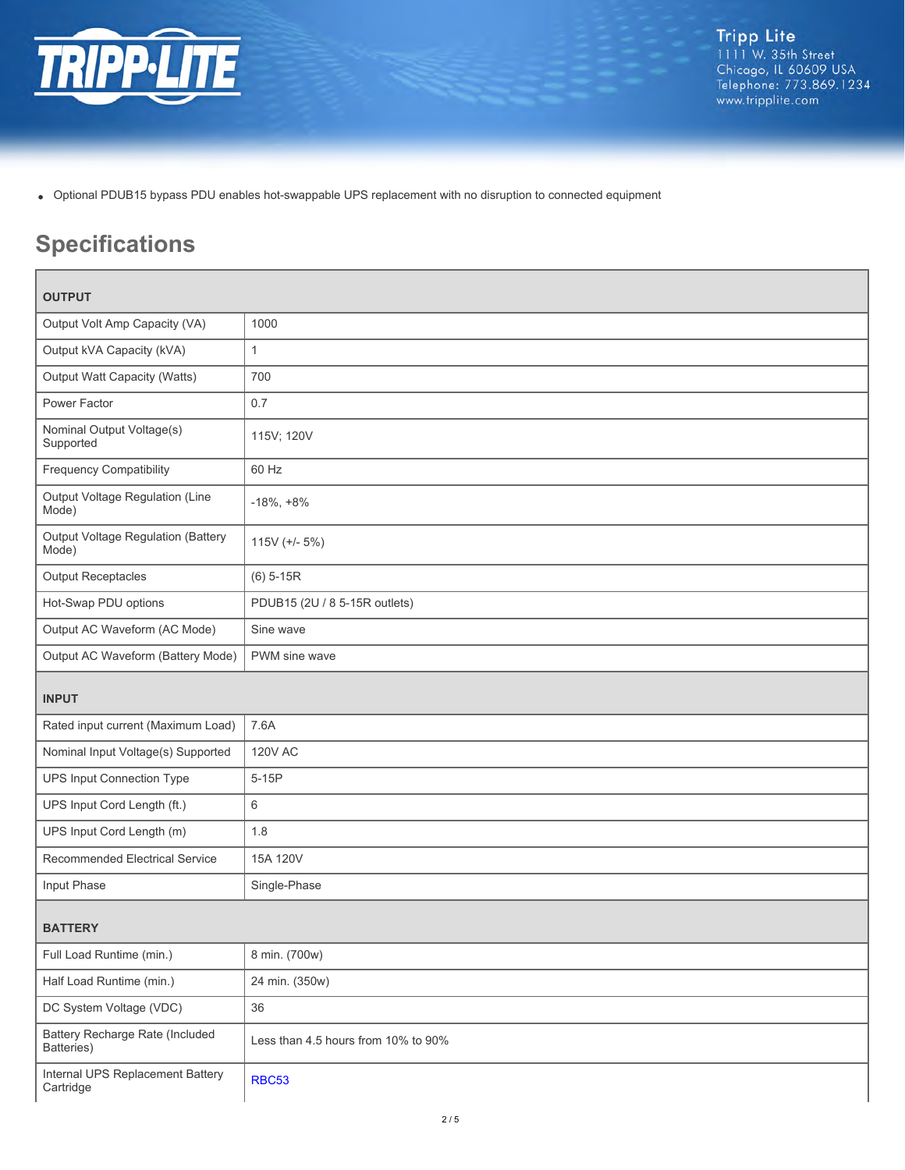

Optional PDUB15 bypass PDU enables hot-swappable UPS replacement with no disruption to connected equipment

# **Specifications**

| <b>OUTPUT</b>                                 |                                     |  |
|-----------------------------------------------|-------------------------------------|--|
| Output Volt Amp Capacity (VA)                 | 1000                                |  |
| Output kVA Capacity (kVA)                     | $\mathbf{1}$                        |  |
| Output Watt Capacity (Watts)                  | 700                                 |  |
| Power Factor                                  | 0.7                                 |  |
| Nominal Output Voltage(s)<br>Supported        | 115V; 120V                          |  |
| <b>Frequency Compatibility</b>                | 60 Hz                               |  |
| Output Voltage Regulation (Line<br>Mode)      | $-18\%, +8\%$                       |  |
| Output Voltage Regulation (Battery<br>Mode)   | $115V$ (+/- $5\%$ )                 |  |
| <b>Output Receptacles</b>                     | $(6)$ 5-15R                         |  |
| Hot-Swap PDU options                          | PDUB15 (2U / 8 5-15R outlets)       |  |
| Output AC Waveform (AC Mode)                  | Sine wave                           |  |
| Output AC Waveform (Battery Mode)             | PWM sine wave                       |  |
| <b>INPUT</b>                                  |                                     |  |
| Rated input current (Maximum Load)            | 7.6A                                |  |
| Nominal Input Voltage(s) Supported            | <b>120V AC</b>                      |  |
| UPS Input Connection Type                     | $5-15P$                             |  |
| UPS Input Cord Length (ft.)                   | 6                                   |  |
| UPS Input Cord Length (m)                     | 1.8                                 |  |
| Recommended Electrical Service                | 15A 120V                            |  |
| Input Phase                                   | Single-Phase                        |  |
| <b>BATTERY</b>                                |                                     |  |
| Full Load Runtime (min.)                      | 8 min. (700w)                       |  |
| Half Load Runtime (min.)                      | 24 min. (350w)                      |  |
| DC System Voltage (VDC)                       | 36                                  |  |
| Battery Recharge Rate (Included<br>Batteries) | Less than 4.5 hours from 10% to 90% |  |
|                                               |                                     |  |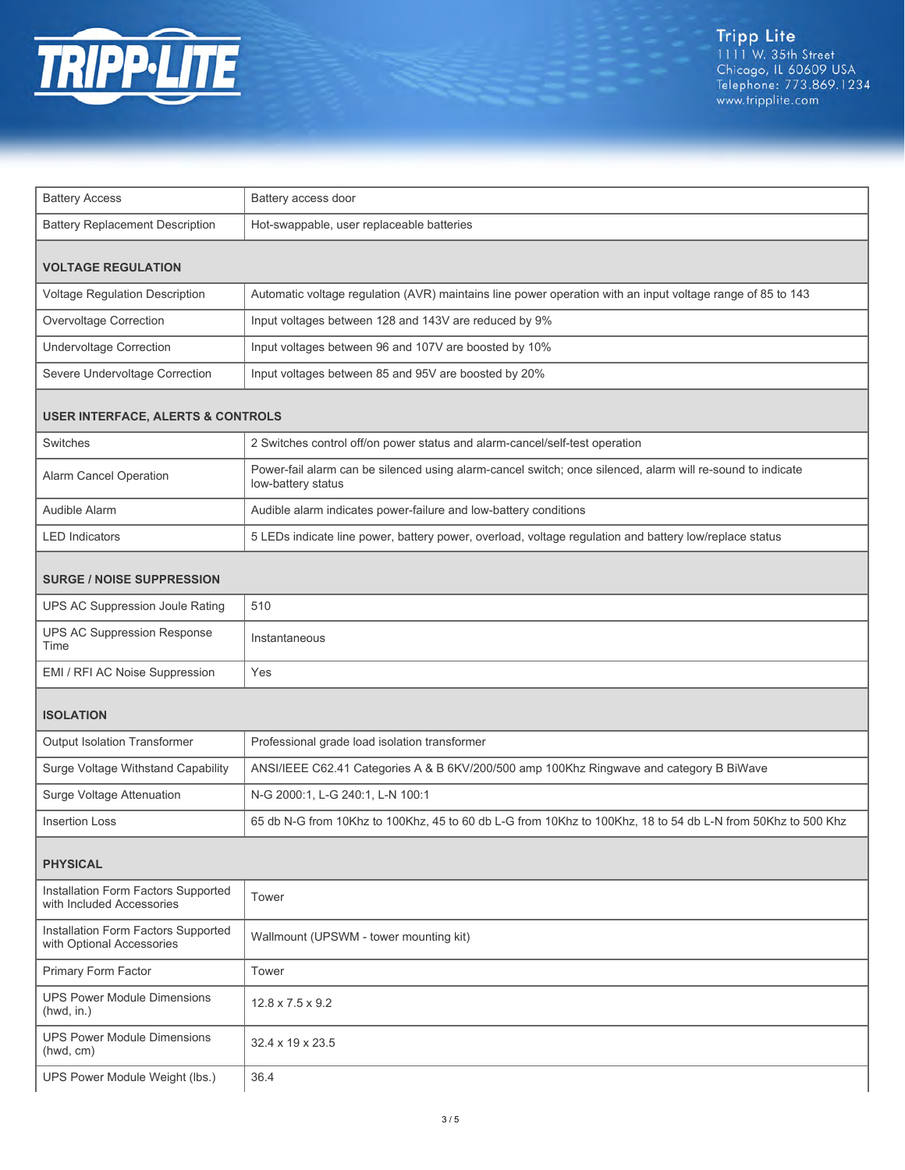

| <b>Battery Access</b>                                            | Battery access door                                                                                                              |  |  |
|------------------------------------------------------------------|----------------------------------------------------------------------------------------------------------------------------------|--|--|
| <b>Battery Replacement Description</b>                           | Hot-swappable, user replaceable batteries                                                                                        |  |  |
| <b>VOLTAGE REGULATION</b>                                        |                                                                                                                                  |  |  |
| Voltage Regulation Description                                   | Automatic voltage regulation (AVR) maintains line power operation with an input voltage range of 85 to 143                       |  |  |
| Overvoltage Correction                                           | Input voltages between 128 and 143V are reduced by 9%                                                                            |  |  |
| <b>Undervoltage Correction</b>                                   | Input voltages between 96 and 107V are boosted by 10%                                                                            |  |  |
| Severe Undervoltage Correction                                   | Input voltages between 85 and 95V are boosted by 20%                                                                             |  |  |
| <b>USER INTERFACE, ALERTS &amp; CONTROLS</b>                     |                                                                                                                                  |  |  |
| Switches                                                         | 2 Switches control off/on power status and alarm-cancel/self-test operation                                                      |  |  |
| Alarm Cancel Operation                                           | Power-fail alarm can be silenced using alarm-cancel switch; once silenced, alarm will re-sound to indicate<br>low-battery status |  |  |
| Audible Alarm                                                    | Audible alarm indicates power-failure and low-battery conditions                                                                 |  |  |
| <b>LED Indicators</b>                                            | 5 LEDs indicate line power, battery power, overload, voltage regulation and battery low/replace status                           |  |  |
| <b>SURGE / NOISE SUPPRESSION</b>                                 |                                                                                                                                  |  |  |
| UPS AC Suppression Joule Rating                                  | 510                                                                                                                              |  |  |
| UPS AC Suppression Response<br>Time                              | Instantaneous                                                                                                                    |  |  |
| EMI / RFI AC Noise Suppression                                   | Yes                                                                                                                              |  |  |
| <b>ISOLATION</b>                                                 |                                                                                                                                  |  |  |
| Output Isolation Transformer                                     | Professional grade load isolation transformer                                                                                    |  |  |
| Surge Voltage Withstand Capability                               | ANSI/IEEE C62.41 Categories A & B 6KV/200/500 amp 100Khz Ringwave and category B BiWave                                          |  |  |
| Surge Voltage Attenuation                                        | N-G 2000:1, L-G 240:1, L-N 100:1                                                                                                 |  |  |
| <b>Insertion Loss</b>                                            | 65 db N-G from 10Khz to 100Khz, 45 to 60 db L-G from 10Khz to 100Khz, 18 to 54 db L-N from 50Khz to 500 Khz                      |  |  |
| <b>PHYSICAL</b>                                                  |                                                                                                                                  |  |  |
| Installation Form Factors Supported<br>with Included Accessories | Tower                                                                                                                            |  |  |
| Installation Form Factors Supported<br>with Optional Accessories | Wallmount (UPSWM - tower mounting kit)                                                                                           |  |  |
| Primary Form Factor                                              | Tower                                                                                                                            |  |  |
| <b>UPS Power Module Dimensions</b><br>(hwd, in.)                 | $12.8 \times 7.5 \times 9.2$                                                                                                     |  |  |
| <b>UPS Power Module Dimensions</b><br>(hwd, cm)                  | 32.4 x 19 x 23.5                                                                                                                 |  |  |
| UPS Power Module Weight (lbs.)                                   | 36.4                                                                                                                             |  |  |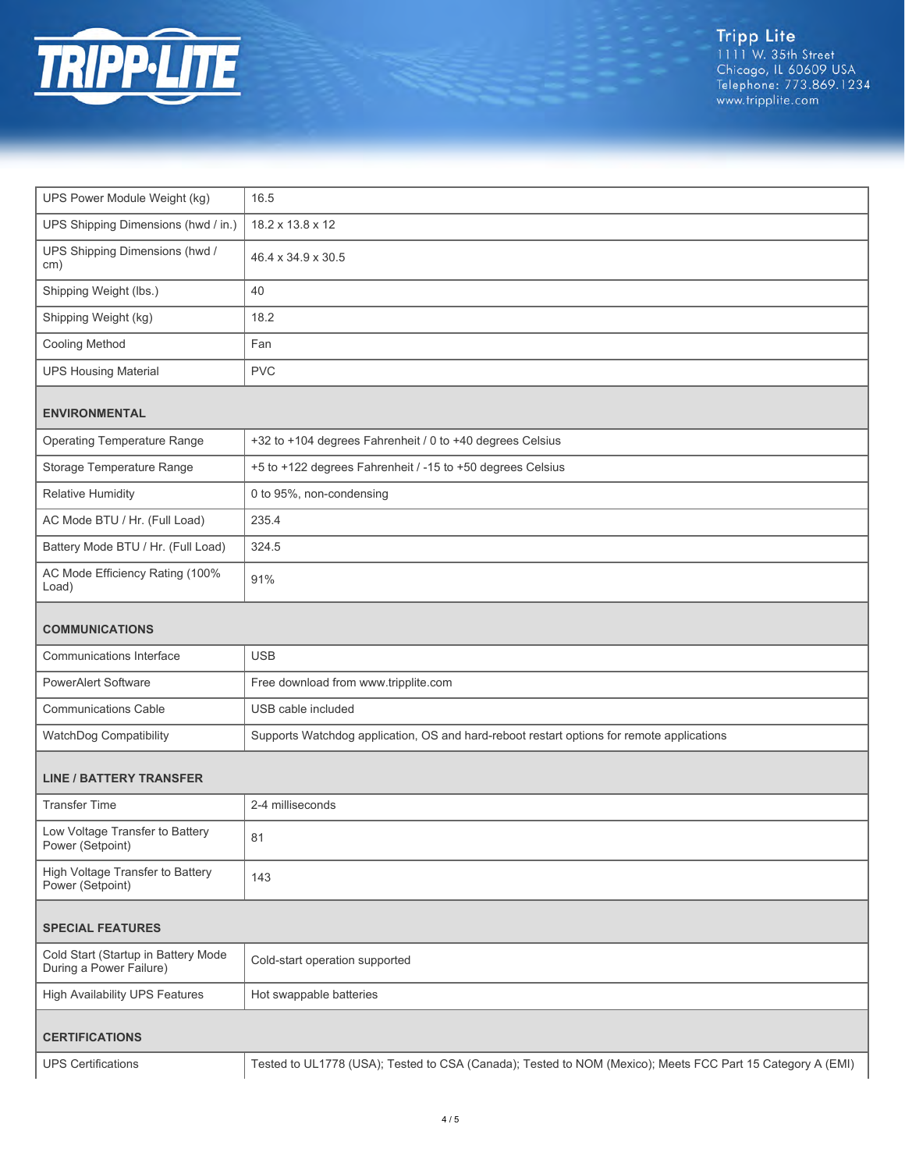

| UPS Power Module Weight (kg)                                   | 16.5                                                                                                       |  |
|----------------------------------------------------------------|------------------------------------------------------------------------------------------------------------|--|
| UPS Shipping Dimensions (hwd / in.)                            | 18.2 x 13.8 x 12                                                                                           |  |
|                                                                |                                                                                                            |  |
| UPS Shipping Dimensions (hwd /<br>cm)                          | 46.4 x 34.9 x 30.5                                                                                         |  |
| Shipping Weight (lbs.)                                         | 40                                                                                                         |  |
| Shipping Weight (kg)                                           | 18.2                                                                                                       |  |
| <b>Cooling Method</b>                                          | Fan                                                                                                        |  |
| <b>UPS Housing Material</b>                                    | <b>PVC</b>                                                                                                 |  |
| <b>ENVIRONMENTAL</b>                                           |                                                                                                            |  |
| <b>Operating Temperature Range</b>                             | +32 to +104 degrees Fahrenheit / 0 to +40 degrees Celsius                                                  |  |
| Storage Temperature Range                                      | +5 to +122 degrees Fahrenheit / -15 to +50 degrees Celsius                                                 |  |
| <b>Relative Humidity</b>                                       | 0 to 95%, non-condensing                                                                                   |  |
| AC Mode BTU / Hr. (Full Load)                                  | 235.4                                                                                                      |  |
| Battery Mode BTU / Hr. (Full Load)                             | 324.5                                                                                                      |  |
| AC Mode Efficiency Rating (100%<br>Load)                       | 91%                                                                                                        |  |
| <b>COMMUNICATIONS</b>                                          |                                                                                                            |  |
| Communications Interface                                       | <b>USB</b>                                                                                                 |  |
| <b>PowerAlert Software</b>                                     | Free download from www.tripplite.com                                                                       |  |
| <b>Communications Cable</b>                                    | USB cable included                                                                                         |  |
| WatchDog Compatibility                                         | Supports Watchdog application, OS and hard-reboot restart options for remote applications                  |  |
| <b>LINE / BATTERY TRANSFER</b>                                 |                                                                                                            |  |
| <b>Transfer Time</b>                                           | 2-4 milliseconds                                                                                           |  |
| Low Voltage Transfer to Battery<br>Power (Setpoint)            | 81                                                                                                         |  |
| High Voltage Transfer to Battery<br>Power (Setpoint)           | 143                                                                                                        |  |
| <b>SPECIAL FEATURES</b>                                        |                                                                                                            |  |
| Cold Start (Startup in Battery Mode<br>During a Power Failure) | Cold-start operation supported                                                                             |  |
| <b>High Availability UPS Features</b>                          | Hot swappable batteries                                                                                    |  |
| <b>CERTIFICATIONS</b>                                          |                                                                                                            |  |
| <b>UPS Certifications</b>                                      | Tested to UL1778 (USA); Tested to CSA (Canada); Tested to NOM (Mexico); Meets FCC Part 15 Category A (EMI) |  |